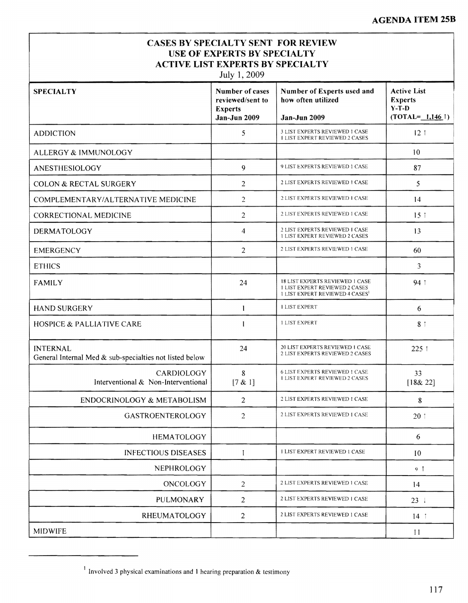## **CASES BY SPECIALTY SENT FOR REVIEW USE OF EXPERTS BY SPECIALTY ACTIVE LIST EXPERTS BY SPECIALTY**

July 1, 2009

| <b>SPECIALTY</b>                                                           | Number of cases<br>reviewed/sent to<br><b>Experts</b><br><b>Jan-Jun 2009</b> | Number of Experts used and<br>how often utilized<br>Jan-Jun 2009                                                   | <b>Active List</b><br><b>Experts</b><br>$Y-T-D$<br>$(TOTAL = 1,146)$ |
|----------------------------------------------------------------------------|------------------------------------------------------------------------------|--------------------------------------------------------------------------------------------------------------------|----------------------------------------------------------------------|
| <b>ADDICTION</b>                                                           | 5                                                                            | 3 LIST EXPERTS REVIEWED 1 CASE<br><b>I LIST EXPERT REVIEWED 2 CASES</b>                                            | 121                                                                  |
| ALLERGY & IMMUNOLOGY                                                       |                                                                              |                                                                                                                    | 10                                                                   |
| ANESTHESIOLOGY                                                             | 9                                                                            | 9 LIST EXPERTS REVIEWED 1 CASE                                                                                     | 87                                                                   |
| <b>COLON &amp; RECTAL SURGERY</b>                                          | $\overline{2}$                                                               | 2 LIST EXPERTS REVIEWED 1 CASE                                                                                     | 5                                                                    |
| COMPLEMENTARY/ALTERNATIVE MEDICINE                                         | $\overline{2}$                                                               | 2 LIST EXPERTS REVIEWED 1 CASE                                                                                     | 14                                                                   |
| CORRECTIONAL MEDICINE                                                      | 2                                                                            | 2 LIST EXPERTS REVIEWED 1 CASE                                                                                     | 15 <sub>1</sub>                                                      |
| DERMATOLOGY                                                                | 4                                                                            | 2 LIST EXPERTS REVIEWED I CASE<br><b>1 LIST EXPERT REVIEWED 2 CASES</b>                                            | 13                                                                   |
| <b>EMERGENCY</b>                                                           | $\overline{2}$                                                               | 2 LIST EXPERTS REVIEWED 1 CASE                                                                                     | 60                                                                   |
| <b>ETHICS</b>                                                              |                                                                              |                                                                                                                    | 3                                                                    |
| <b>FAMILY</b>                                                              | 24                                                                           | <b>18 LIST EXPERTS REVIEWED 1 CASE</b><br><b>I LIST EXPERT REVIEWED 2 CASES</b><br>1 LIST EXPERT REVIEWED 4 CASES' | 94 1                                                                 |
| <b>HAND SURGERY</b>                                                        | 1                                                                            | <b>I LIST EXPERT</b>                                                                                               | 6                                                                    |
| <b>HOSPICE &amp; PALLIATIVE CARE</b>                                       |                                                                              | <b>1 LIST EXPERT</b>                                                                                               | 8 <sub>1</sub>                                                       |
| <b>INTERNAL</b><br>General Internal Med & sub-specialties not listed below | 24                                                                           | 20 LIST EXPERTS REVIEWED 1 CASE<br>2 LIST EXPERTS REVIEWED 2 CASES                                                 | 225 1                                                                |
| CARDIOLOGY<br>Interventional & Non-Interventional                          | 8<br>[7 & 1]                                                                 | <b>6 LIST EXPERTS REVIEWED 1 CASE</b><br><b>1 LIST EXPERT REVIEWED 2 CASES</b>                                     | 33<br>[18& 22]                                                       |
| ENDOCRINOLOGY & METABOLISM                                                 | $\overline{2}$                                                               | 2 LIST EXPERTS REVIEWED 1 CASE                                                                                     | 8                                                                    |
| <b>GASTROENTEROLOGY</b>                                                    | $\overline{2}$                                                               | 2 LIST EXPERTS REVIEWED 1 CASE                                                                                     | 20:1                                                                 |
| <b>HEMATOLOGY</b>                                                          |                                                                              |                                                                                                                    | 6                                                                    |
| <b>INFECTIOUS DISEASES</b>                                                 | $\mathbf{I}$                                                                 | <b>I LIST EXPERT REVIEWED 1 CASE</b>                                                                               | 10                                                                   |
| <b>NEPHROLOGY</b>                                                          |                                                                              |                                                                                                                    | 9 <sup>†</sup>                                                       |
| ONCOLOGY                                                                   | 2                                                                            | 2 LIST EXPERTS REVIEWED 1 CASE                                                                                     | 14                                                                   |
| <b>PULMONARY</b>                                                           | 2                                                                            | 2 LIST EXPERTS REVIEWED 1 CASE                                                                                     | $23 \t1$                                                             |
| <b>RHEUMATOLOGY</b>                                                        | $\overline{2}$                                                               | 2 LIST EXPERTS REVIEWED 1 CASE                                                                                     | $14$ 1                                                               |
| <b>MIDWIFE</b>                                                             |                                                                              |                                                                                                                    | 11                                                                   |

<sup>1</sup> Involved 3 physical examinations and l hearing preparation & testimony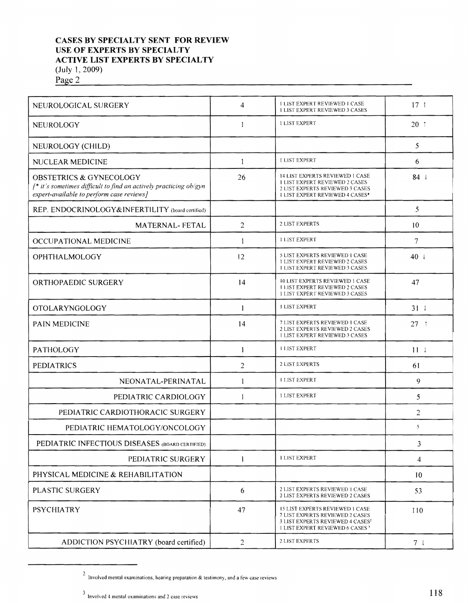## **CASES BY SPECIALTY SENT FOR REVIEW USE OF EXPERTS BY SPECIALTY ACTIVE LIST EXPERTS BY SPECIALTY** (July l, 2009)

Page 2

| NEUROLOGICAL SURGERY                                                                                                                                    | 4              | <b>LLIST EXPERT REVIEWED 1 CASE</b><br><b>1 LIST EXPERT REVIEWED 3 CASES</b>                                                                                             | $17-1$          |
|---------------------------------------------------------------------------------------------------------------------------------------------------------|----------------|--------------------------------------------------------------------------------------------------------------------------------------------------------------------------|-----------------|
| NEUROLOGY                                                                                                                                               | -1             | <b>1 LIST EXPERT</b>                                                                                                                                                     | $20 - 1$        |
| NEUROLOGY (CHILD)                                                                                                                                       |                |                                                                                                                                                                          | 5               |
| NUCLEAR MEDICINE                                                                                                                                        | 1              | <b>I LIST EXPERT</b>                                                                                                                                                     | 6               |
| <b>OBSTETRICS &amp; GYNECOLOGY</b><br>$f^*$ it's sometimes difficult to find an actively practicing ob/gyn<br>expert-available to perform case reviews] | 26             | <b>14 LIST EXPERTS REVIEWED 1 CASE</b><br><b>I LIST EXPERT REVIEWED 2 CASES</b><br>2 LIST EXPERTS REVIEWED 3 CASES<br>1 LIST EXPERT REVIEWED 4 CASES*                    | $84 \downarrow$ |
| REP. ENDOCRINOLOGY&INFERTILITY (board certified)                                                                                                        |                |                                                                                                                                                                          | 5               |
| <b>MATERNAL-FETAL</b>                                                                                                                                   | $\overline{2}$ | 2 LIST EXPERTS                                                                                                                                                           | 10              |
| OCCUPATIONAL MEDICINE                                                                                                                                   | 1              | <b>I LIST EXPERT</b>                                                                                                                                                     | 7               |
| <b>OPHTHALMOLOGY</b>                                                                                                                                    | 12             | 5 LIST EXPERTS REVIEWED 1 CASE<br>1 LIST EXPERT REVIEWED 2 CASES<br><b>1 LIST EXPERT REVIEWED 3 CASES</b>                                                                | $40 \pm$        |
| ORTHOPAEDIC SURGERY                                                                                                                                     | 14             | <b>10 LIST EXPERTS REVIEWED 1 CASE</b><br><b>I LIST EXPERT REVIEWED 2 CASES</b><br><b>1 LIST EXPERT REVIEWED 3 CASES</b>                                                 | 47              |
| <b>OTOLARYNGOLOGY</b>                                                                                                                                   | 1              | <b>I LIST EXPERT</b>                                                                                                                                                     | 311             |
| PAIN MEDICINE                                                                                                                                           | 14             | 7 LIST EXPERTS REVIEWED 1 CASE<br>2 LIST EXPERTS REVIEWED 2 CASES<br><b>1 LIST EXPERT REVIEWED 3 CASES</b>                                                               | $27 - 1$        |
| PATHOLOGY                                                                                                                                               | 1              | <b>HLIST EXPERT</b>                                                                                                                                                      | $11 \perp$      |
| <b>PEDIATRICS</b>                                                                                                                                       | $\overline{2}$ | 2 LIST EXPERTS                                                                                                                                                           | 61              |
| NEONATAL-PERINATAL                                                                                                                                      | 1              | <b>I LIST EXPERT</b>                                                                                                                                                     | 9               |
| PEDIATRIC CARDIOLOGY                                                                                                                                    | 1              | <b>1 LIST EXPERT</b>                                                                                                                                                     | 5               |
| PEDIATRIC CARDIOTHORACIC SURGERY                                                                                                                        |                |                                                                                                                                                                          | $\overline{2}$  |
| PEDIATRIC HEMATOLOGY/ONCOLOGY                                                                                                                           |                |                                                                                                                                                                          | 5               |
| PEDIATRIC INFECTIOUS DISEASES (BOARD CERTIFIED)                                                                                                         |                |                                                                                                                                                                          | 3               |
| PEDIATRIC SURGERY                                                                                                                                       | $\mathbf{1}$   | <b>I LIST EXPERT</b>                                                                                                                                                     | 4               |
| PHYSICAL MEDICINE & REHABILITATION                                                                                                                      |                |                                                                                                                                                                          | 10              |
| PLASTIC SURGERY                                                                                                                                         | 6              | 2 LIST EXPERTS REVIEWED 1 CASE<br>2 LIST EXPERTS REVIEWED 2 CASES                                                                                                        | 53              |
| <b>PSYCHIATRY</b>                                                                                                                                       | 47             | <b>15 LIST EXPERTS REVIEWED 1 CASE</b><br>7 LIST EXPERTS REVIEWED 2 CASES<br>3 LIST EXPERTS REVIEWED 4 CASES <sup>2</sup><br>1 LIST EXPERT REVIEWED 6 CASES <sup>3</sup> | 110             |
| ADDICTION PSYCHIATRY (board certified)                                                                                                                  | $\overline{2}$ | 2 LIST EXPERTS                                                                                                                                                           | 7 <sup>1</sup>  |

 $^2$  Involved mental examinations, hearing preparation & testimony, and a few case reviews